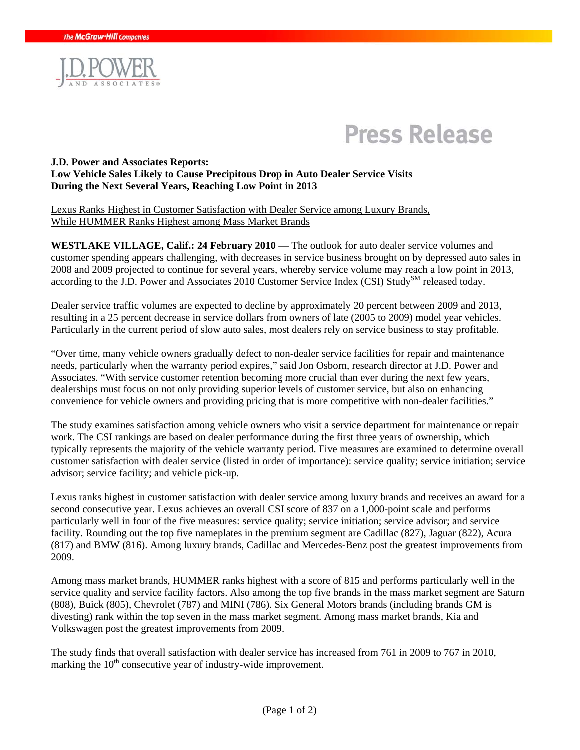

# **Press Release**

#### **J.D. Power and Associates Reports: Low Vehicle Sales Likely to Cause Precipitous Drop in Auto Dealer Service Visits During the Next Several Years, Reaching Low Point in 2013**

Lexus Ranks Highest in Customer Satisfaction with Dealer Service among Luxury Brands, While HUMMER Ranks Highest among Mass Market Brands

**WESTLAKE VILLAGE, Calif.: 24 February 2010** — The outlook for auto dealer service volumes and customer spending appears challenging, with decreases in service business brought on by depressed auto sales in 2008 and 2009 projected to continue for several years, whereby service volume may reach a low point in 2013, according to the J.D. Power and Associates 2010 Customer Service Index (CSI) Study<sup>SM</sup> released today.

Dealer service traffic volumes are expected to decline by approximately 20 percent between 2009 and 2013, resulting in a 25 percent decrease in service dollars from owners of late (2005 to 2009) model year vehicles. Particularly in the current period of slow auto sales, most dealers rely on service business to stay profitable.

"Over time, many vehicle owners gradually defect to non-dealer service facilities for repair and maintenance needs, particularly when the warranty period expires," said Jon Osborn, research director at J.D. Power and Associates. "With service customer retention becoming more crucial than ever during the next few years, dealerships must focus on not only providing superior levels of customer service, but also on enhancing convenience for vehicle owners and providing pricing that is more competitive with non-dealer facilities."

The study examines satisfaction among vehicle owners who visit a service department for maintenance or repair work. The CSI rankings are based on dealer performance during the first three years of ownership, which typically represents the majority of the vehicle warranty period. Five measures are examined to determine overall customer satisfaction with dealer service (listed in order of importance): service quality; service initiation; service advisor; service facility; and vehicle pick-up.

Lexus ranks highest in customer satisfaction with dealer service among luxury brands and receives an award for a second consecutive year. Lexus achieves an overall CSI score of 837 on a 1,000-point scale and performs particularly well in four of the five measures: service quality; service initiation; service advisor; and service facility. Rounding out the top five nameplates in the premium segment are Cadillac (827), Jaguar (822), Acura (817) and BMW (816). Among luxury brands, Cadillac and Mercedes-Benz post the greatest improvements from 2009.

Among mass market brands, HUMMER ranks highest with a score of 815 and performs particularly well in the service quality and service facility factors. Also among the top five brands in the mass market segment are Saturn (808), Buick (805), Chevrolet (787) and MINI (786). Six General Motors brands (including brands GM is divesting) rank within the top seven in the mass market segment. Among mass market brands, Kia and Volkswagen post the greatest improvements from 2009.

The study finds that overall satisfaction with dealer service has increased from 761 in 2009 to 767 in 2010, marking the  $10<sup>th</sup>$  consecutive year of industry-wide improvement.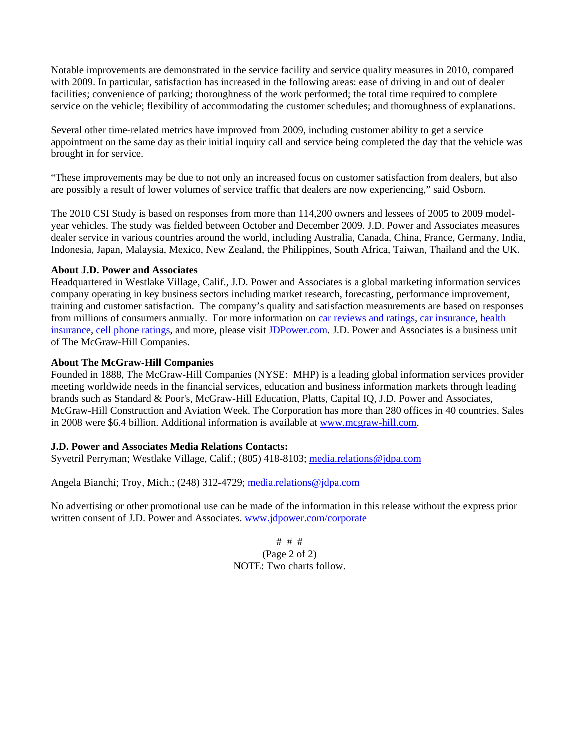Notable improvements are demonstrated in the service facility and service quality measures in 2010, compared with 2009. In particular, satisfaction has increased in the following areas: ease of driving in and out of dealer facilities; convenience of parking; thoroughness of the work performed; the total time required to complete service on the vehicle; flexibility of accommodating the customer schedules; and thoroughness of explanations.

Several other time-related metrics have improved from 2009, including customer ability to get a service appointment on the same day as their initial inquiry call and service being completed the day that the vehicle was brought in for service.

"These improvements may be due to not only an increased focus on customer satisfaction from dealers, but also are possibly a result of lower volumes of service traffic that dealers are now experiencing," said Osborn.

The 2010 CSI Study is based on responses from more than 114,200 owners and lessees of 2005 to 2009 modelyear vehicles. The study was fielded between October and December 2009. J.D. Power and Associates measures dealer service in various countries around the world, including Australia, Canada, China, France, Germany, India, Indonesia, Japan, Malaysia, Mexico, New Zealand, the Philippines, South Africa, Taiwan, Thailand and the UK.

#### **About J.D. Power and Associates**

Headquartered in Westlake Village, Calif., J.D. Power and Associates is a global marketing information services company operating in key business sectors including market research, forecasting, performance improvement, training and customer satisfaction. The company's quality and satisfaction measurements are based on responses from millions of consumers annually. For more information on car reviews and ratings, car insurance, health insurance, cell phone ratings, and more, please visit JDPower.com. J.D. Power and Associates is a business unit of The McGraw-Hill Companies.

#### **About The McGraw-Hill Companies**

Founded in 1888, The McGraw-Hill Companies (NYSE: MHP) is a leading global information services provider meeting worldwide needs in the financial services, education and business information markets through leading brands such as Standard & Poor's, McGraw-Hill Education, Platts, Capital IQ, J.D. Power and Associates, McGraw-Hill Construction and Aviation Week. The Corporation has more than 280 offices in 40 countries. Sales in 2008 were \$6.4 billion. Additional information is available at www.mcgraw-hill.com.

### **J.D. Power and Associates Media Relations Contacts:**

Syvetril Perryman; Westlake Village, Calif.; (805) 418-8103; media.relations@jdpa.com

Angela Bianchi; Troy, Mich.; (248) 312-4729; media.relations@jdpa.com

No advertising or other promotional use can be made of the information in this release without the express prior written consent of J.D. Power and Associates. www.jdpower.com/corporate

> # # # (Page 2 of 2) NOTE: Two charts follow.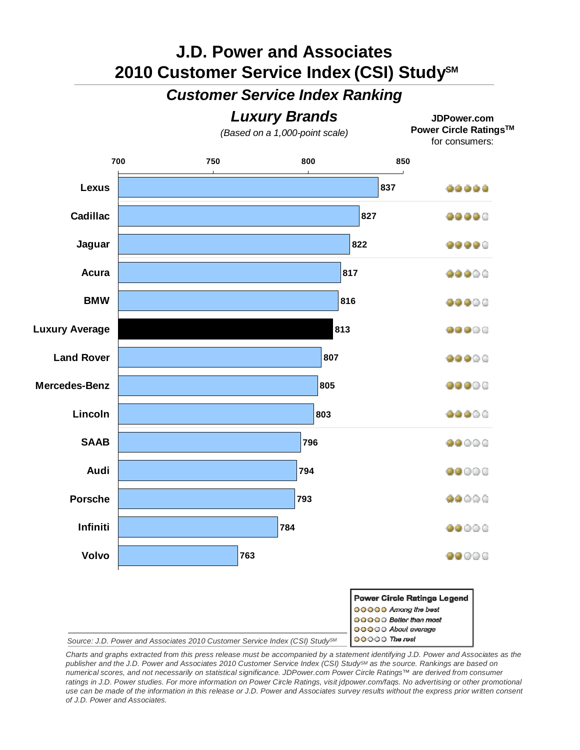## **J.D. Power and Associates 2010 Customer Service Index (CSI) StudySM**

### *Customer Service Index Ranking*



00000 The rest *Source: J.D. Power and Associates 2010 Customer Service Index (CSI) StudySM*

*Charts and graphs extracted from this press release must be accompanied by a statement identifying J.D. Power and Associates as the publisher and the J.D. Power and Associates 2010 Customer Service Index (CSI) StudySM as the source. Rankings are based on numerical scores, and not necessarily on statistical significance. JDPower.com Power Circle Ratings™ are derived from consumer ratings in J.D. Power studies. For more information on Power Circle Ratings, visit jdpower.com/faqs. No advertising or other promotional use can be made of the information in this release or J.D. Power and Associates survey results without the express prior written consent of J.D. Power and Associates.*